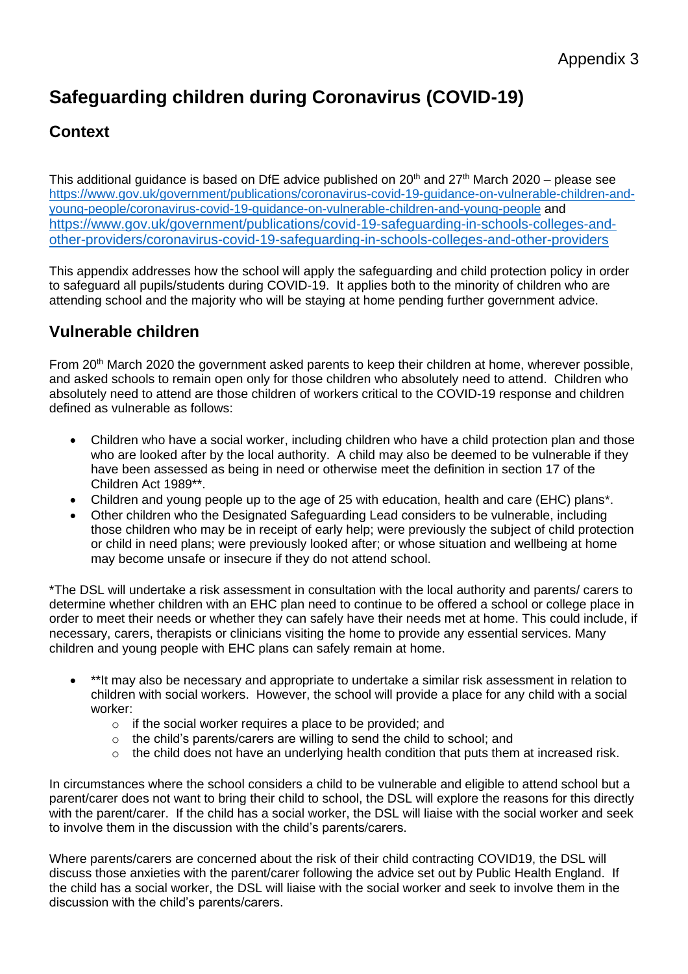# **Safeguarding children during Coronavirus (COVID-19)**

# **Context**

This additional guidance is based on DfE advice published on 20 $^{\text{th}}$  and 27 $^{\text{th}}$  March 2020 – please see [https://www.gov.uk/government/publications/coronavirus-covid-19-guidance-on-vulnerable-children-and](https://www.gov.uk/government/publications/coronavirus-covid-19-guidance-on-vulnerable-children-and-young-people/coronavirus-covid-19-guidance-on-vulnerable-children-and-young-people)[young-people/coronavirus-covid-19-guidance-on-vulnerable-children-and-young-people](https://www.gov.uk/government/publications/coronavirus-covid-19-guidance-on-vulnerable-children-and-young-people/coronavirus-covid-19-guidance-on-vulnerable-children-and-young-people) and [https://www.gov.uk/government/publications/covid-19-safeguarding-in-schools-colleges-and](https://www.gov.uk/government/publications/covid-19-safeguarding-in-schools-colleges-and-other-providers/coronavirus-covid-19-safeguarding-in-schools-colleges-and-other-providers)[other-providers/coronavirus-covid-19-safeguarding-in-schools-colleges-and-other-providers](https://www.gov.uk/government/publications/covid-19-safeguarding-in-schools-colleges-and-other-providers/coronavirus-covid-19-safeguarding-in-schools-colleges-and-other-providers)

This appendix addresses how the school will apply the safeguarding and child protection policy in order to safeguard all pupils/students during COVID-19. It applies both to the minority of children who are attending school and the majority who will be staying at home pending further government advice.

## **Vulnerable children**

From 20<sup>th</sup> March 2020 the government asked parents to keep their children at home, wherever possible, and asked schools to remain open only for those children who absolutely need to attend. Children who absolutely need to attend are those children of workers critical to the COVID-19 response and children defined as vulnerable as follows:

- Children who have a social worker, including children who have a child protection plan and those who are looked after by the local authority. A child may also be deemed to be vulnerable if they have been assessed as being in need or otherwise meet the definition in section 17 of the Children Act 1989\*\*.
- Children and young people up to the age of 25 with education, health and care (EHC) plans\*.
- Other children who the Designated Safeguarding Lead considers to be vulnerable, including those children who may be in receipt of early help; were previously the subject of child protection or child in need plans; were previously looked after; or whose situation and wellbeing at home may become unsafe or insecure if they do not attend school.

\*The DSL will undertake a risk assessment in consultation with the local authority and parents/ carers to determine whether children with an EHC plan need to continue to be offered a school or college place in order to meet their needs or whether they can safely have their needs met at home. This could include, if necessary, carers, therapists or clinicians visiting the home to provide any essential services. Many children and young people with EHC plans can safely remain at home.

- \*\*It may also be necessary and appropriate to undertake a similar risk assessment in relation to children with social workers. However, the school will provide a place for any child with a social worker:
	- o if the social worker requires a place to be provided; and
	- o the child's parents/carers are willing to send the child to school; and
	- o the child does not have an underlying health condition that puts them at increased risk.

In circumstances where the school considers a child to be vulnerable and eligible to attend school but a parent/carer does not want to bring their child to school, the DSL will explore the reasons for this directly with the parent/carer. If the child has a social worker, the DSL will liaise with the social worker and seek to involve them in the discussion with the child's parents/carers.

Where parents/carers are concerned about the risk of their child contracting COVID19, the DSL will discuss those anxieties with the parent/carer following the advice set out by Public Health England. If the child has a social worker, the DSL will liaise with the social worker and seek to involve them in the discussion with the child's parents/carers.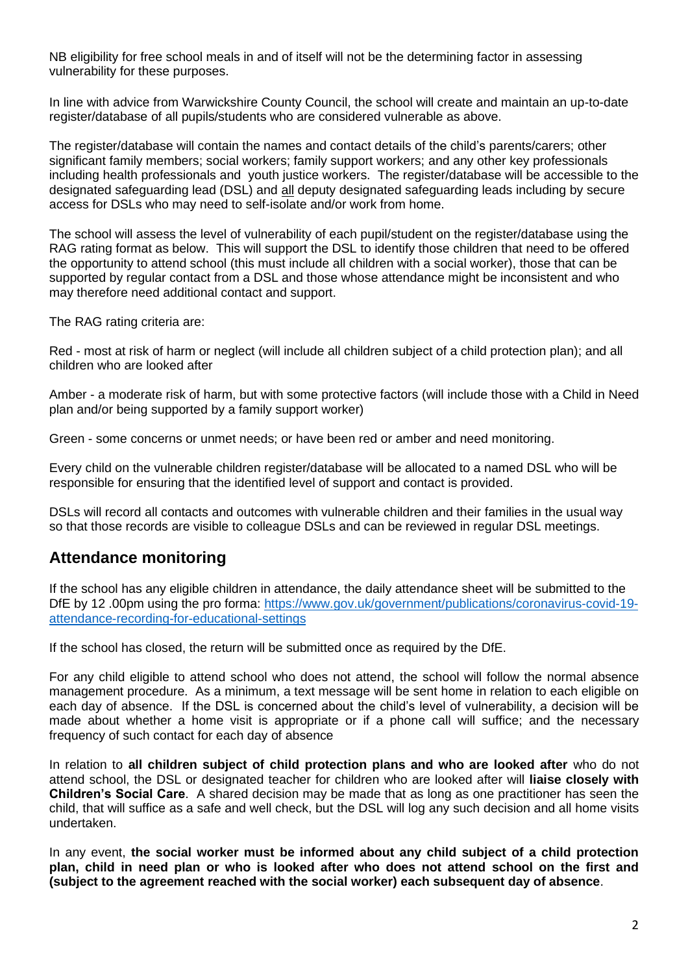NB eligibility for free school meals in and of itself will not be the determining factor in assessing vulnerability for these purposes.

In line with advice from Warwickshire County Council, the school will create and maintain an up-to-date register/database of all pupils/students who are considered vulnerable as above.

The register/database will contain the names and contact details of the child's parents/carers; other significant family members; social workers; family support workers; and any other key professionals including health professionals and youth justice workers. The register/database will be accessible to the designated safeguarding lead (DSL) and all deputy designated safeguarding leads including by secure access for DSLs who may need to self-isolate and/or work from home.

The school will assess the level of vulnerability of each pupil/student on the register/database using the RAG rating format as below. This will support the DSL to identify those children that need to be offered the opportunity to attend school (this must include all children with a social worker), those that can be supported by regular contact from a DSL and those whose attendance might be inconsistent and who may therefore need additional contact and support.

The RAG rating criteria are:

Red - most at risk of harm or neglect (will include all children subject of a child protection plan); and all children who are looked after

Amber - a moderate risk of harm, but with some protective factors (will include those with a Child in Need plan and/or being supported by a family support worker)

Green - some concerns or unmet needs; or have been red or amber and need monitoring.

Every child on the vulnerable children register/database will be allocated to a named DSL who will be responsible for ensuring that the identified level of support and contact is provided.

DSLs will record all contacts and outcomes with vulnerable children and their families in the usual way so that those records are visible to colleague DSLs and can be reviewed in regular DSL meetings.

#### **Attendance monitoring**

If the school has any eligible children in attendance, the daily attendance sheet will be submitted to the DfE by 12 .00pm using the pro forma: [https://www.gov.uk/government/publications/coronavirus-covid-19](https://www.gov.uk/government/publications/coronavirus-covid-19-attendance-recording-for-educational-settings) [attendance-recording-for-educational-settings](https://www.gov.uk/government/publications/coronavirus-covid-19-attendance-recording-for-educational-settings)

If the school has closed, the return will be submitted once as required by the DfE.

For any child eligible to attend school who does not attend, the school will follow the normal absence management procedure. As a minimum, a text message will be sent home in relation to each eligible on each day of absence. If the DSL is concerned about the child's level of vulnerability, a decision will be made about whether a home visit is appropriate or if a phone call will suffice; and the necessary frequency of such contact for each day of absence

In relation to **all children subject of child protection plans and who are looked after** who do not attend school, the DSL or designated teacher for children who are looked after will **liaise closely with Children's Social Care**. A shared decision may be made that as long as one practitioner has seen the child, that will suffice as a safe and well check, but the DSL will log any such decision and all home visits undertaken.

In any event, **the social worker must be informed about any child subject of a child protection plan, child in need plan or who is looked after who does not attend school on the first and (subject to the agreement reached with the social worker) each subsequent day of absence**.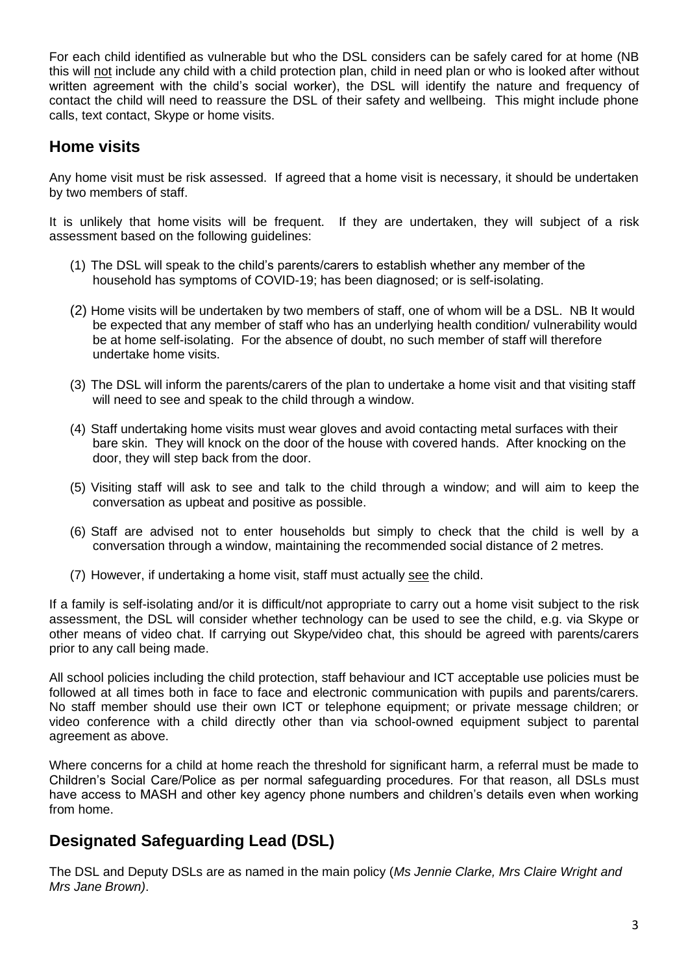For each child identified as vulnerable but who the DSL considers can be safely cared for at home (NB this will not include any child with a child protection plan, child in need plan or who is looked after without written agreement with the child's social worker), the DSL will identify the nature and frequency of contact the child will need to reassure the DSL of their safety and wellbeing. This might include phone calls, text contact, Skype or home visits.

## **Home visits**

Any home visit must be risk assessed. If agreed that a home visit is necessary, it should be undertaken by two members of staff.

It is unlikely that home visits will be frequent. If they are undertaken, they will subject of a risk assessment based on the following guidelines:

- (1) The DSL will speak to the child's parents/carers to establish whether any member of the household has symptoms of COVID-19; has been diagnosed; or is self-isolating.
- (2) Home visits will be undertaken by two members of staff, one of whom will be a DSL. NB It would be expected that any member of staff who has an underlying health condition/ vulnerability would be at home self-isolating. For the absence of doubt, no such member of staff will therefore undertake home visits.
- (3) The DSL will inform the parents/carers of the plan to undertake a home visit and that visiting staff will need to see and speak to the child through a window.
- (4) Staff undertaking home visits must wear gloves and avoid contacting metal surfaces with their bare skin. They will knock on the door of the house with covered hands. After knocking on the door, they will step back from the door.
- (5) Visiting staff will ask to see and talk to the child through a window; and will aim to keep the conversation as upbeat and positive as possible.
- (6) Staff are advised not to enter households but simply to check that the child is well by a conversation through a window, maintaining the recommended social distance of 2 metres.
- (7) However, if undertaking a home visit, staff must actually see the child.

If a family is self-isolating and/or it is difficult/not appropriate to carry out a home visit subject to the risk assessment, the DSL will consider whether technology can be used to see the child, e.g. via Skype or other means of video chat. If carrying out Skype/video chat, this should be agreed with parents/carers prior to any call being made.

All school policies including the child protection, staff behaviour and ICT acceptable use policies must be followed at all times both in face to face and electronic communication with pupils and parents/carers. No staff member should use their own ICT or telephone equipment; or private message children; or video conference with a child directly other than via school-owned equipment subject to parental agreement as above.

Where concerns for a child at home reach the threshold for significant harm, a referral must be made to Children's Social Care/Police as per normal safeguarding procedures. For that reason, all DSLs must have access to MASH and other key agency phone numbers and children's details even when working from home.

## **Designated Safeguarding Lead (DSL)**

The DSL and Deputy DSLs are as named in the main policy (*Ms Jennie Clarke, Mrs Claire Wright and Mrs Jane Brown)*.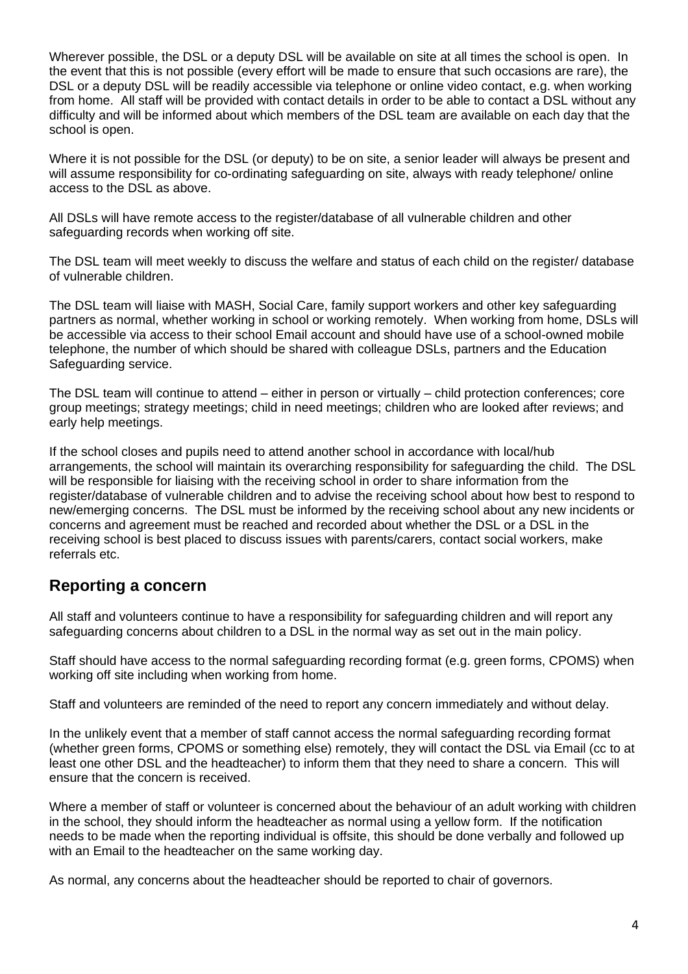Wherever possible, the DSL or a deputy DSL will be available on site at all times the school is open. In the event that this is not possible (every effort will be made to ensure that such occasions are rare), the DSL or a deputy DSL will be readily accessible via telephone or online video contact, e.g. when working from home. All staff will be provided with contact details in order to be able to contact a DSL without any difficulty and will be informed about which members of the DSL team are available on each day that the school is open.

Where it is not possible for the DSL (or deputy) to be on site, a senior leader will always be present and will assume responsibility for co-ordinating safeguarding on site, always with ready telephone/ online access to the DSL as above.

All DSLs will have remote access to the register/database of all vulnerable children and other safeguarding records when working off site.

The DSL team will meet weekly to discuss the welfare and status of each child on the register/ database of vulnerable children.

The DSL team will liaise with MASH, Social Care, family support workers and other key safeguarding partners as normal, whether working in school or working remotely. When working from home, DSLs will be accessible via access to their school Email account and should have use of a school-owned mobile telephone, the number of which should be shared with colleague DSLs, partners and the Education Safeguarding service.

The DSL team will continue to attend – either in person or virtually – child protection conferences; core group meetings; strategy meetings; child in need meetings; children who are looked after reviews; and early help meetings.

If the school closes and pupils need to attend another school in accordance with local/hub arrangements, the school will maintain its overarching responsibility for safeguarding the child. The DSL will be responsible for liaising with the receiving school in order to share information from the register/database of vulnerable children and to advise the receiving school about how best to respond to new/emerging concerns. The DSL must be informed by the receiving school about any new incidents or concerns and agreement must be reached and recorded about whether the DSL or a DSL in the receiving school is best placed to discuss issues with parents/carers, contact social workers, make referrals etc.

#### **Reporting a concern**

All staff and volunteers continue to have a responsibility for safeguarding children and will report any safeguarding concerns about children to a DSL in the normal way as set out in the main policy.

Staff should have access to the normal safeguarding recording format (e.g. green forms, CPOMS) when working off site including when working from home.

Staff and volunteers are reminded of the need to report any concern immediately and without delay.

In the unlikely event that a member of staff cannot access the normal safeguarding recording format (whether green forms, CPOMS or something else) remotely, they will contact the DSL via Email (cc to at least one other DSL and the headteacher) to inform them that they need to share a concern. This will ensure that the concern is received.

Where a member of staff or volunteer is concerned about the behaviour of an adult working with children in the school, they should inform the headteacher as normal using a yellow form. If the notification needs to be made when the reporting individual is offsite, this should be done verbally and followed up with an Email to the headteacher on the same working day.

As normal, any concerns about the headteacher should be reported to chair of governors.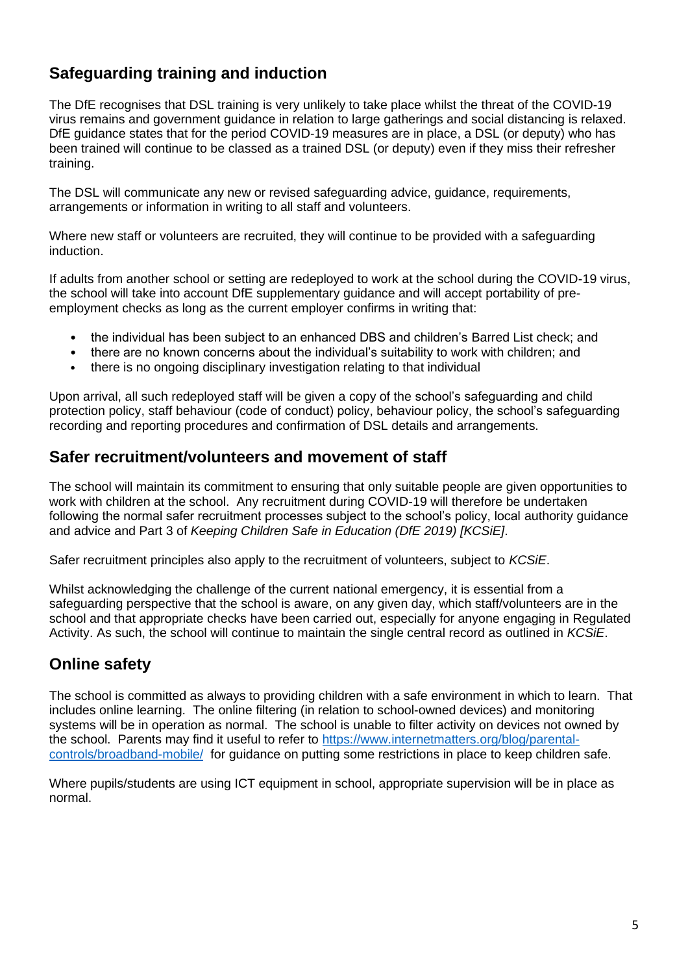# **Safeguarding training and induction**

The DfE recognises that DSL training is very unlikely to take place whilst the threat of the COVID-19 virus remains and government guidance in relation to large gatherings and social distancing is relaxed. DfE guidance states that for the period COVID-19 measures are in place, a DSL (or deputy) who has been trained will continue to be classed as a trained DSL (or deputy) even if they miss their refresher training.

The DSL will communicate any new or revised safeguarding advice, guidance, requirements, arrangements or information in writing to all staff and volunteers.

Where new staff or volunteers are recruited, they will continue to be provided with a safeguarding induction.

If adults from another school or setting are redeployed to work at the school during the COVID-19 virus, the school will take into account DfE supplementary guidance and will accept portability of preemployment checks as long as the current employer confirms in writing that:

- the individual has been subject to an enhanced DBS and children's Barred List check; and
- there are no known concerns about the individual's suitability to work with children; and
- there is no ongoing disciplinary investigation relating to that individual

Upon arrival, all such redeployed staff will be given a copy of the school's safeguarding and child protection policy, staff behaviour (code of conduct) policy, behaviour policy, the school's safeguarding recording and reporting procedures and confirmation of DSL details and arrangements.

#### **Safer recruitment/volunteers and movement of staff**

The school will maintain its commitment to ensuring that only suitable people are given opportunities to work with children at the school. Any recruitment during COVID-19 will therefore be undertaken following the normal safer recruitment processes subject to the school's policy, local authority guidance and advice and Part 3 of *Keeping Children Safe in Education (DfE 2019) [KCSiE]*.

Safer recruitment principles also apply to the recruitment of volunteers, subject to *KCSiE*.

Whilst acknowledging the challenge of the current national emergency, it is essential from a safeguarding perspective that the school is aware, on any given day, which staff/volunteers are in the school and that appropriate checks have been carried out, especially for anyone engaging in Regulated Activity. As such, the school will continue to maintain the single central record as outlined in *KCSiE*.

## **Online safety**

The school is committed as always to providing children with a safe environment in which to learn. That includes online learning. The online filtering (in relation to school-owned devices) and monitoring systems will be in operation as normal. The school is unable to filter activity on devices not owned by the school. Parents may find it useful to refer to [https://www.internetmatters.org/blog/parental](https://www.internetmatters.org/blog/parental-controls/broadband-mobile/)[controls/broadband-mobile/](https://www.internetmatters.org/blog/parental-controls/broadband-mobile/) for guidance on putting some restrictions in place to keep children safe.

Where pupils/students are using ICT equipment in school, appropriate supervision will be in place as normal.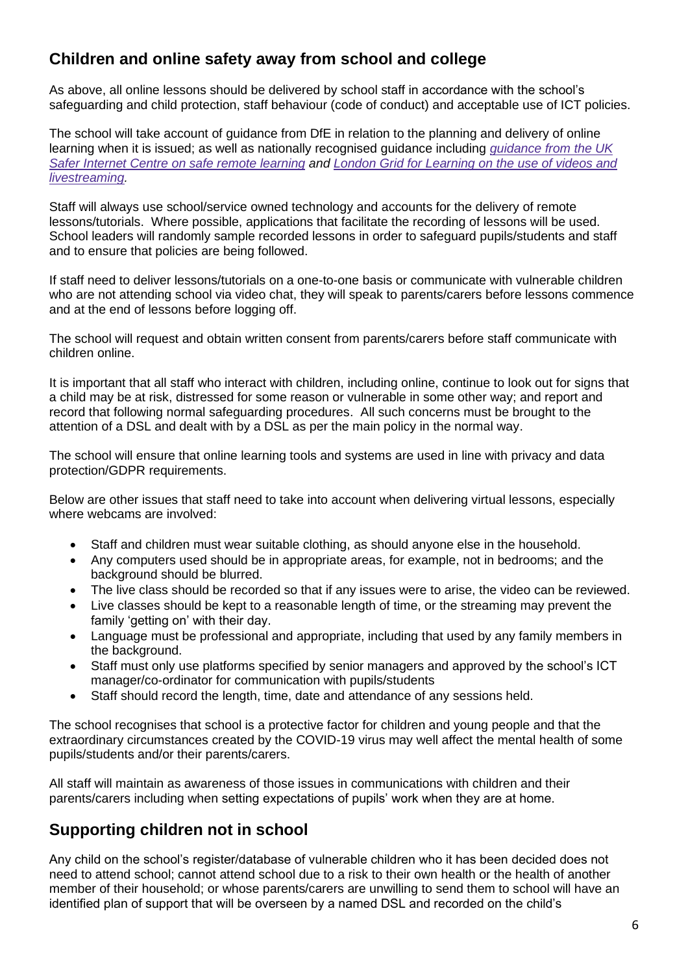# **Children and online safety away from school and college**

As above, all online lessons should be delivered by school staff in accordance with the school's safeguarding and child protection, staff behaviour (code of conduct) and acceptable use of ICT policies.

The school will take account of guidance from DfE in relation to the planning and delivery of online learning when it is issued; as well as nationally recognised guidance including *[guidance](https://swgfl.org.uk/resources/safe-remote-learning/) from the UK* Safer Internet Centre on safe remote [learning](https://swgfl.org.uk/resources/safe-remote-learning/) and London Grid for [Learning](https://static.lgfl.net/LgflNet/downloads/digisafe/Safe-Lessons-by-Video-and-Livestream.pdf) on the use of videos and *[livestreaming.](https://static.lgfl.net/LgflNet/downloads/digisafe/Safe-Lessons-by-Video-and-Livestream.pdf)*

Staff will always use school/service owned technology and accounts for the delivery of remote lessons/tutorials. Where possible, applications that facilitate the recording of lessons will be used. School leaders will randomly sample recorded lessons in order to safeguard pupils/students and staff and to ensure that policies are being followed.

If staff need to deliver lessons/tutorials on a one-to-one basis or communicate with vulnerable children who are not attending school via video chat, they will speak to parents/carers before lessons commence and at the end of lessons before logging off.

The school will request and obtain written consent from parents/carers before staff communicate with children online.

It is important that all staff who interact with children, including online, continue to look out for signs that a child may be at risk, distressed for some reason or vulnerable in some other way; and report and record that following normal safeguarding procedures. All such concerns must be brought to the attention of a DSL and dealt with by a DSL as per the main policy in the normal way.

The school will ensure that online learning tools and systems are used in line with privacy and data protection/GDPR requirements.

Below are other issues that staff need to take into account when delivering virtual lessons, especially where webcams are involved:

- Staff and children must wear suitable clothing, as should anyone else in the household.
- Any computers used should be in appropriate areas, for example, not in bedrooms; and the background should be blurred.
- The live class should be recorded so that if any issues were to arise, the video can be reviewed.
- Live classes should be kept to a reasonable length of time, or the streaming may prevent the family 'getting on' with their day.
- Language must be professional and appropriate, including that used by any family members in the background.
- Staff must only use platforms specified by senior managers and approved by the school's ICT manager/co-ordinator for communication with pupils/students
- Staff should record the length, time, date and attendance of any sessions held.

The school recognises that school is a protective factor for children and young people and that the extraordinary circumstances created by the COVID-19 virus may well affect the mental health of some pupils/students and/or their parents/carers.

All staff will maintain as awareness of those issues in communications with children and their parents/carers including when setting expectations of pupils' work when they are at home.

## **Supporting children not in school**

Any child on the school's register/database of vulnerable children who it has been decided does not need to attend school; cannot attend school due to a risk to their own health or the health of another member of their household; or whose parents/carers are unwilling to send them to school will have an identified plan of support that will be overseen by a named DSL and recorded on the child's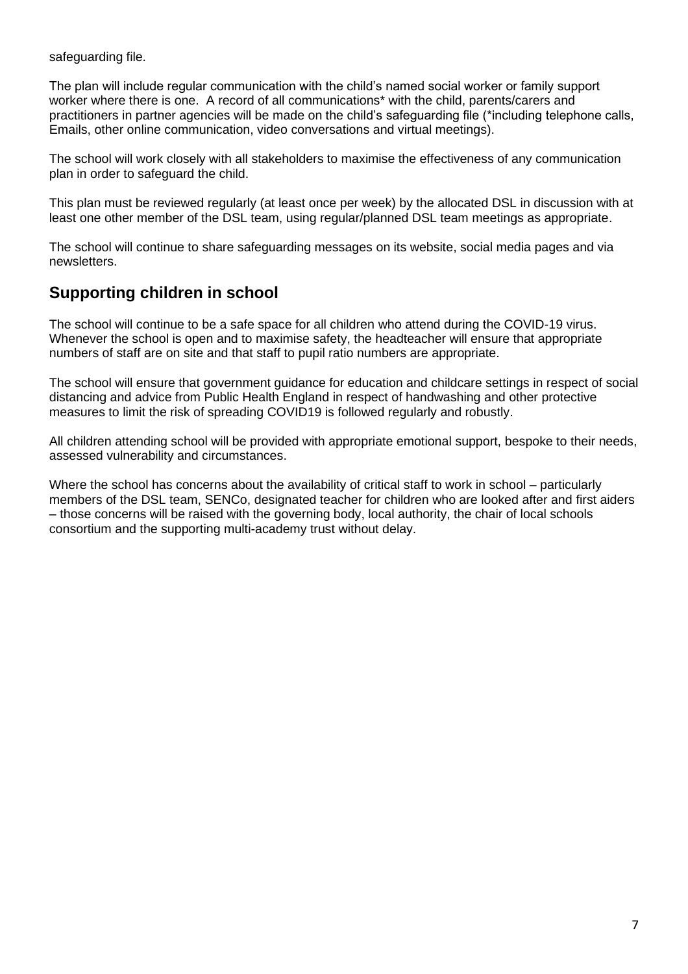safeguarding file.

The plan will include regular communication with the child's named social worker or family support worker where there is one. A record of all communications\* with the child, parents/carers and practitioners in partner agencies will be made on the child's safeguarding file (\*including telephone calls, Emails, other online communication, video conversations and virtual meetings).

The school will work closely with all stakeholders to maximise the effectiveness of any communication plan in order to safeguard the child.

This plan must be reviewed regularly (at least once per week) by the allocated DSL in discussion with at least one other member of the DSL team, using regular/planned DSL team meetings as appropriate.

The school will continue to share safeguarding messages on its website, social media pages and via newsletters.

#### **Supporting children in school**

The school will continue to be a safe space for all children who attend during the COVID-19 virus. Whenever the school is open and to maximise safety, the headteacher will ensure that appropriate numbers of staff are on site and that staff to pupil ratio numbers are appropriate.

The school will ensure that government guidance for education and childcare settings in respect of social distancing and advice from Public Health England in respect of handwashing and other protective measures to limit the risk of spreading COVID19 is followed regularly and robustly.

All children attending school will be provided with appropriate emotional support, bespoke to their needs, assessed vulnerability and circumstances.

Where the school has concerns about the availability of critical staff to work in school – particularly members of the DSL team, SENCo, designated teacher for children who are looked after and first aiders – those concerns will be raised with the governing body, local authority, the chair of local schools consortium and the supporting multi-academy trust without delay.